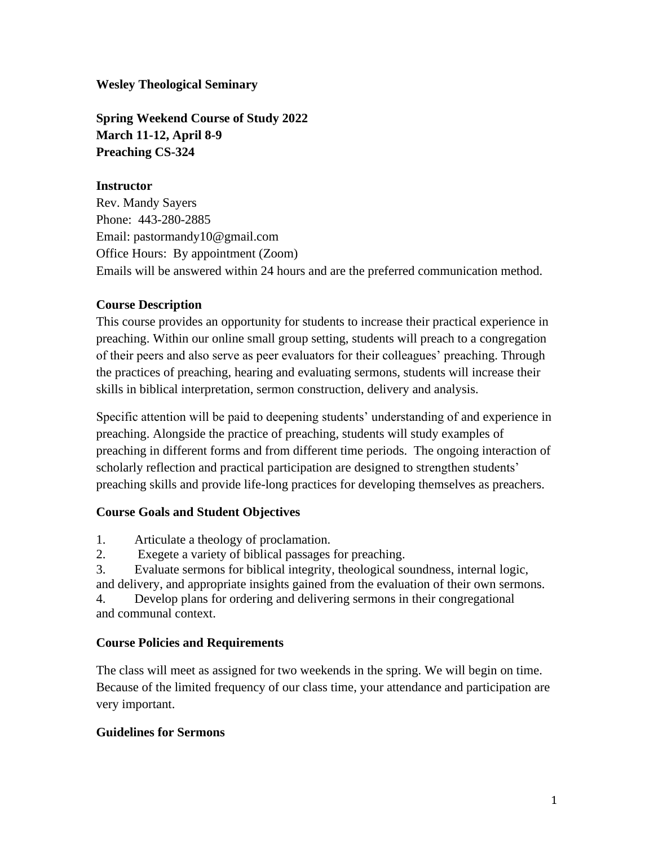**Wesley Theological Seminary**

**Spring Weekend Course of Study 2022 March 11-12, April 8-9 Preaching CS-324**

## **Instructor**

Rev. Mandy Sayers Phone: 443-280-2885 Email: pastormandy10@gmail.com Office Hours: By appointment (Zoom) Emails will be answered within 24 hours and are the preferred communication method.

## **Course Description**

This course provides an opportunity for students to increase their practical experience in preaching. Within our online small group setting, students will preach to a congregation of their peers and also serve as peer evaluators for their colleagues' preaching. Through the practices of preaching, hearing and evaluating sermons, students will increase their skills in biblical interpretation, sermon construction, delivery and analysis.

Specific attention will be paid to deepening students' understanding of and experience in preaching. Alongside the practice of preaching, students will study examples of preaching in different forms and from different time periods. The ongoing interaction of scholarly reflection and practical participation are designed to strengthen students' preaching skills and provide life-long practices for developing themselves as preachers.

## **Course Goals and Student Objectives**

- 1. Articulate a theology of proclamation.
- 2. Exegete a variety of biblical passages for preaching.

3. Evaluate sermons for biblical integrity, theological soundness, internal logic, and delivery, and appropriate insights gained from the evaluation of their own sermons.

4. Develop plans for ordering and delivering sermons in their congregational and communal context.

## **Course Policies and Requirements**

The class will meet as assigned for two weekends in the spring. We will begin on time. Because of the limited frequency of our class time, your attendance and participation are very important.

# **Guidelines for Sermons**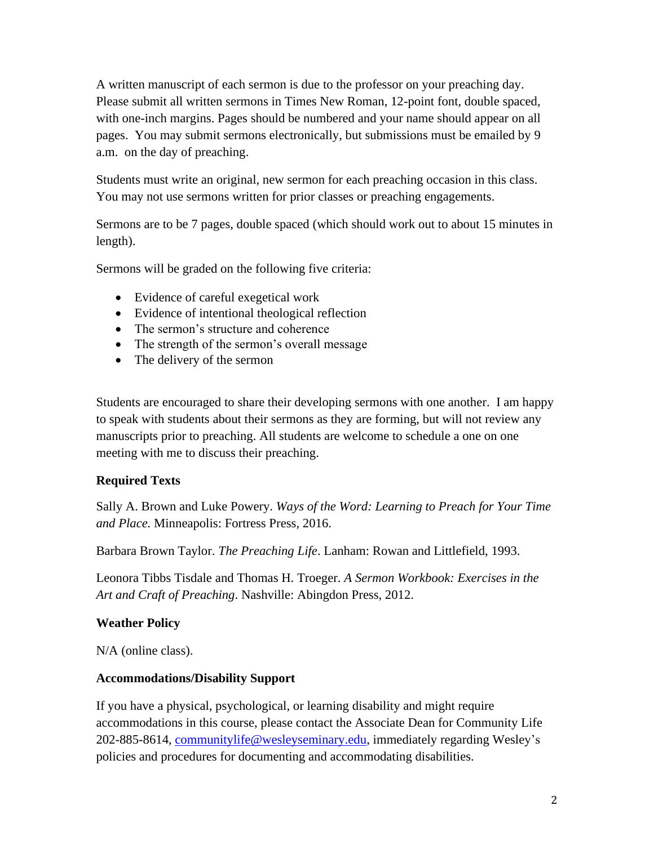A written manuscript of each sermon is due to the professor on your preaching day. Please submit all written sermons in Times New Roman, 12-point font, double spaced, with one-inch margins. Pages should be numbered and your name should appear on all pages. You may submit sermons electronically, but submissions must be emailed by 9 a.m. on the day of preaching.

Students must write an original, new sermon for each preaching occasion in this class. You may not use sermons written for prior classes or preaching engagements.

Sermons are to be 7 pages, double spaced (which should work out to about 15 minutes in length).

Sermons will be graded on the following five criteria:

- Evidence of careful exegetical work
- Evidence of intentional theological reflection
- The sermon's structure and coherence
- The strength of the sermon's overall message
- The delivery of the sermon

Students are encouraged to share their developing sermons with one another. I am happy to speak with students about their sermons as they are forming, but will not review any manuscripts prior to preaching. All students are welcome to schedule a one on one meeting with me to discuss their preaching.

# **Required Texts**

Sally A. Brown and Luke Powery. *Ways of the Word: Learning to Preach for Your Time and Place.* Minneapolis: Fortress Press, 2016.

Barbara Brown Taylor. *The Preaching Life*. Lanham: Rowan and Littlefield, 1993.

Leonora Tibbs Tisdale and Thomas H. Troeger. *A Sermon Workbook: Exercises in the Art and Craft of Preaching*. Nashville: Abingdon Press, 2012.

# **Weather Policy**

N/A (online class).

## **Accommodations/Disability Support**

If you have a physical, psychological, or learning disability and might require accommodations in this course, please contact the Associate Dean for Community Life 202-885-8614, [communitylife@wesleyseminary.edu,](mailto:communitylife@wesleyseminary.edu) immediately regarding Wesley's policies and procedures for documenting and accommodating disabilities.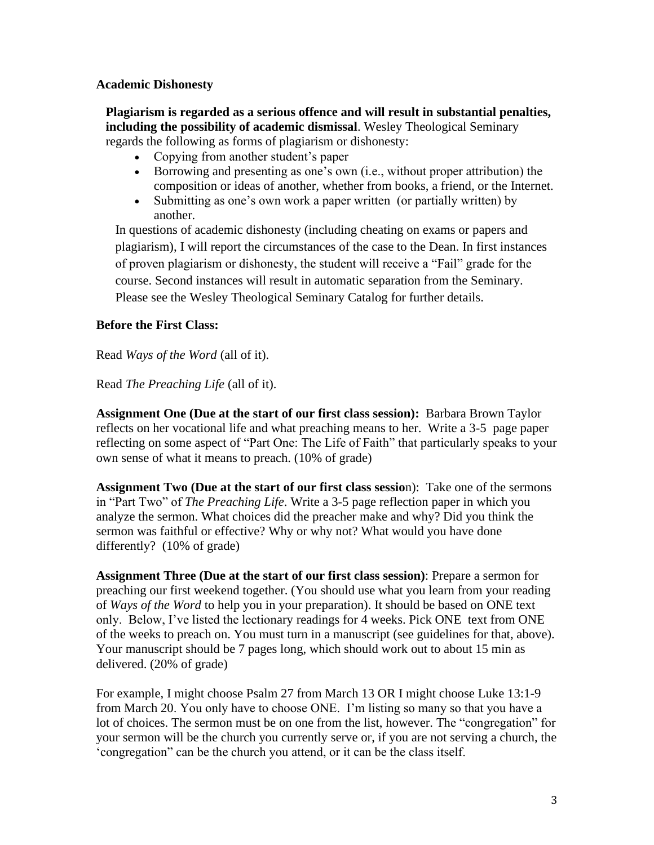#### **Academic Dishonesty**

**Plagiarism is regarded as a serious offence and will result in substantial penalties, including the possibility of academic dismissal**. Wesley Theological Seminary regards the following as forms of plagiarism or dishonesty:

- Copying from another student's paper
- Borrowing and presenting as one's own (i.e., without proper attribution) the composition or ideas of another, whether from books, a friend, or the Internet.
- Submitting as one's own work a paper written (or partially written) by another.

In questions of academic dishonesty (including cheating on exams or papers and plagiarism), I will report the circumstances of the case to the Dean. In first instances of proven plagiarism or dishonesty, the student will receive a "Fail" grade for the course. Second instances will result in automatic separation from the Seminary. Please see the Wesley Theological Seminary Catalog for further details.

#### **Before the First Class:**

Read *Ways of the Word* (all of it).

Read *The Preaching Life* (all of it).

**Assignment One (Due at the start of our first class session):** Barbara Brown Taylor reflects on her vocational life and what preaching means to her. Write a 3-5 page paper reflecting on some aspect of "Part One: The Life of Faith" that particularly speaks to your own sense of what it means to preach. (10% of grade)

**Assignment Two (Due at the start of our first class sessio**n): Take one of the sermons in "Part Two" of *The Preaching Life*. Write a 3-5 page reflection paper in which you analyze the sermon. What choices did the preacher make and why? Did you think the sermon was faithful or effective? Why or why not? What would you have done differently? (10% of grade)

**Assignment Three (Due at the start of our first class session)**: Prepare a sermon for preaching our first weekend together. (You should use what you learn from your reading of *Ways of the Word* to help you in your preparation). It should be based on ONE text only. Below, I've listed the lectionary readings for 4 weeks. Pick ONE text from ONE of the weeks to preach on. You must turn in a manuscript (see guidelines for that, above). Your manuscript should be 7 pages long, which should work out to about 15 min as delivered. (20% of grade)

For example, I might choose Psalm 27 from March 13 OR I might choose Luke 13:1-9 from March 20. You only have to choose ONE. I'm listing so many so that you have a lot of choices. The sermon must be on one from the list, however. The "congregation" for your sermon will be the church you currently serve or, if you are not serving a church, the 'congregation" can be the church you attend, or it can be the class itself.